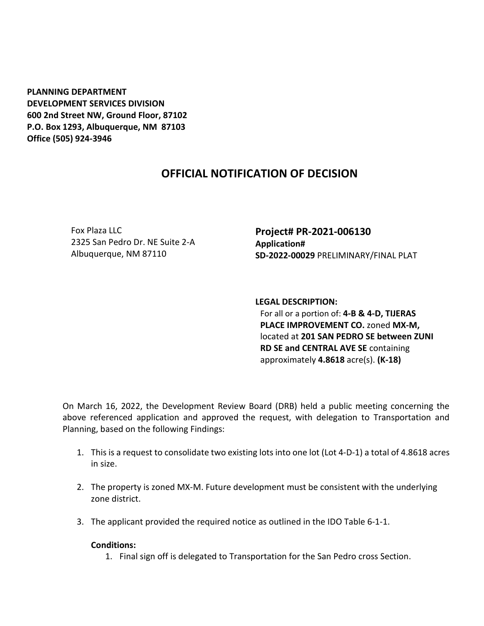**PLANNING DEPARTMENT DEVELOPMENT SERVICES DIVISION 600 2nd Street NW, Ground Floor, 87102 P.O. Box 1293, Albuquerque, NM 87103 Office (505) 924-3946** 

## **OFFICIAL NOTIFICATION OF DECISION**

Fox Plaza LLC 2325 San Pedro Dr. NE Suite 2-A Albuquerque, NM 87110

**Project# PR-2021-006130 Application# SD-2022-00029** PRELIMINARY/FINAL PLAT

**LEGAL DESCRIPTION:** For all or a portion of: **4-B & 4-D, TIJERAS PLACE IMPROVEMENT CO.** zoned **MX-M,**  located at **201 SAN PEDRO SE between ZUNI RD SE and CENTRAL AVE SE** containing approximately **4.8618** acre(s). **(K-18)**

On March 16, 2022, the Development Review Board (DRB) held a public meeting concerning the above referenced application and approved the request, with delegation to Transportation and Planning, based on the following Findings:

- 1. This is a request to consolidate two existing lots into one lot (Lot 4-D-1) a total of 4.8618 acres in size.
- 2. The property is zoned MX-M. Future development must be consistent with the underlying zone district.
- 3. The applicant provided the required notice as outlined in the IDO Table 6-1-1.

## **Conditions:**

1. Final sign off is delegated to Transportation for the San Pedro cross Section.